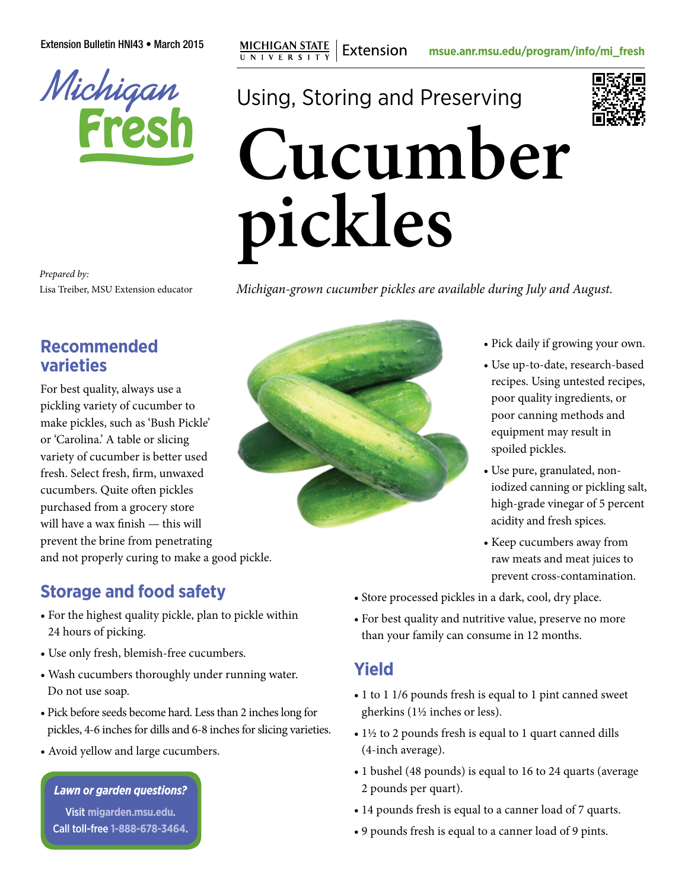

Extension Bulletin HNI43 • March 2015 **mg MICHIGAN STATE** | Extension [msue.anr.msu.edu/program/info/mi\\_fresh](http://msue.anr.msu.edu/program/info/mi_fresh)

# Using, Storing and Preserving **Cucumber pickles**

*Prepared by:* Lisa Treiber, MSU Extension educator

## *Michigan-grown cucumber pickles are available during July and August.*

# **Recommended varieties**

For best quality, always use a pickling variety of cucumber to make pickles, such as 'Bush Pickle' or 'Carolina.' A table or slicing variety of cucumber is better used fresh. Select fresh, firm, unwaxed cucumbers. Quite often pickles purchased from a grocery store will have a wax finish — this will prevent the brine from penetrating and not properly curing to make a good pickle.

# **Storage and food safety**

- For the highest quality pickle, plan to pickle within 24 hours of picking.
- Use only fresh, blemish-free cucumbers.
- Wash cucumbers thoroughly under running water. Do not use soap.
- Pick before seeds become hard. Less than 2 inches long for pickles, 4-6 inches for dills and 6-8 inches for slicing varieties.
- Avoid yellow and large cucumbers.

#### *Lawn or garden questions?*

Visit **[migarden.msu.edu](http://migarden.msu.edu)**. Call toll-free **1-888-678-3464**.



- Pick daily if growing your own.
- Use up-to-date, research-based recipes. Using untested recipes, poor quality ingredients, or poor canning methods and equipment may result in spoiled pickles.
- Use pure, granulated, noniodized canning or pickling salt, high-grade vinegar of 5 percent acidity and fresh spices.
- Keep cucumbers away from raw meats and meat juices to prevent cross-contamination.
- Store processed pickles in a dark, cool, dry place.
- For best quality and nutritive value, preserve no more than your family can consume in 12 months.

## **Yield**

- 1 to 1 1/6 pounds fresh is equal to 1 pint canned sweet gherkins (1½ inches or less).
- 1½ to 2 pounds fresh is equal to 1 quart canned dills (4-inch average).
- 1 bushel (48 pounds) is equal to 16 to 24 quarts (average 2 pounds per quart).
- 14 pounds fresh is equal to a canner load of 7 quarts.
- 9 pounds fresh is equal to a canner load of 9 pints.

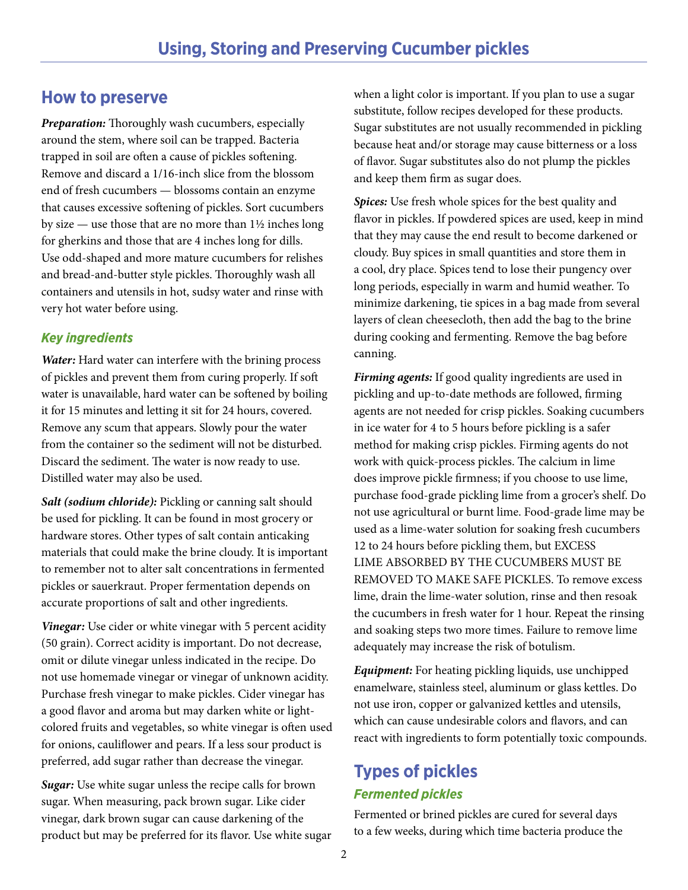## **How to preserve**

*Preparation:* Thoroughly wash cucumbers, especially around the stem, where soil can be trapped. Bacteria trapped in soil are often a cause of pickles softening. Remove and discard a 1/16-inch slice from the blossom end of fresh cucumbers — blossoms contain an enzyme that causes excessive softening of pickles. Sort cucumbers by size — use those that are no more than 1½ inches long for gherkins and those that are 4 inches long for dills. Use odd-shaped and more mature cucumbers for relishes and bread-and-butter style pickles. Thoroughly wash all containers and utensils in hot, sudsy water and rinse with very hot water before using.

## *Key ingredients*

*Water:* Hard water can interfere with the brining process of pickles and prevent them from curing properly. If soft water is unavailable, hard water can be softened by boiling it for 15 minutes and letting it sit for 24 hours, covered. Remove any scum that appears. Slowly pour the water from the container so the sediment will not be disturbed. Discard the sediment. The water is now ready to use. Distilled water may also be used.

*Salt (sodium chloride):* Pickling or canning salt should be used for pickling. It can be found in most grocery or hardware stores. Other types of salt contain anticaking materials that could make the brine cloudy. It is important to remember not to alter salt concentrations in fermented pickles or sauerkraut. Proper fermentation depends on accurate proportions of salt and other ingredients.

*Vinegar:* Use cider or white vinegar with 5 percent acidity (50 grain). Correct acidity is important. Do not decrease, omit or dilute vinegar unless indicated in the recipe. Do not use homemade vinegar or vinegar of unknown acidity. Purchase fresh vinegar to make pickles. Cider vinegar has a good flavor and aroma but may darken white or lightcolored fruits and vegetables, so white vinegar is often used for onions, cauliflower and pears. If a less sour product is preferred, add sugar rather than decrease the vinegar.

*Sugar:* Use white sugar unless the recipe calls for brown sugar. When measuring, pack brown sugar. Like cider vinegar, dark brown sugar can cause darkening of the product but may be preferred for its flavor. Use white sugar when a light color is important. If you plan to use a sugar substitute, follow recipes developed for these products. Sugar substitutes are not usually recommended in pickling because heat and/or storage may cause bitterness or a loss of flavor. Sugar substitutes also do not plump the pickles and keep them firm as sugar does.

*Spices:* Use fresh whole spices for the best quality and flavor in pickles. If powdered spices are used, keep in mind that they may cause the end result to become darkened or cloudy. Buy spices in small quantities and store them in a cool, dry place. Spices tend to lose their pungency over long periods, especially in warm and humid weather. To minimize darkening, tie spices in a bag made from several layers of clean cheesecloth, then add the bag to the brine during cooking and fermenting. Remove the bag before canning.

*Firming agents:* If good quality ingredients are used in pickling and up-to-date methods are followed, firming agents are not needed for crisp pickles. Soaking cucumbers in ice water for 4 to 5 hours before pickling is a safer method for making crisp pickles. Firming agents do not work with quick-process pickles. The calcium in lime does improve pickle firmness; if you choose to use lime, purchase food-grade pickling lime from a grocer's shelf. Do not use agricultural or burnt lime. Food-grade lime may be used as a lime-water solution for soaking fresh cucumbers 12 to 24 hours before pickling them, but EXCESS LIME ABSORBED BY THE CUCUMBERS MUST BE REMOVED TO MAKE SAFE PICKLES. To remove excess lime, drain the lime-water solution, rinse and then resoak the cucumbers in fresh water for 1 hour. Repeat the rinsing and soaking steps two more times. Failure to remove lime adequately may increase the risk of botulism.

*Equipment:* For heating pickling liquids, use unchipped enamelware, stainless steel, aluminum or glass kettles. Do not use iron, copper or galvanized kettles and utensils, which can cause undesirable colors and flavors, and can react with ingredients to form potentially toxic compounds.

# **Types of pickles** *Fermented pickles*

Fermented or brined pickles are cured for several days to a few weeks, during which time bacteria produce the